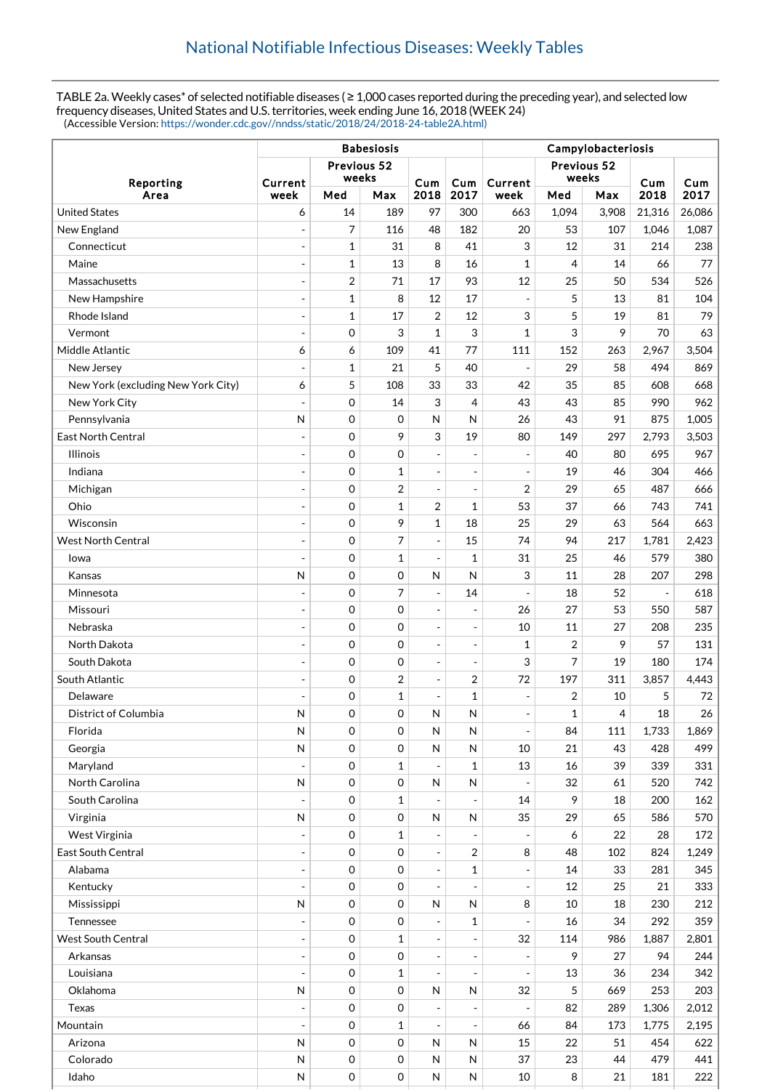TABLE 2a. Weekly cases\* of selected notifiable diseases ( ≥ 1,000 cases reported during the preceding year), and selected low frequency diseases, United States and U.S. territories, week ending June 16, 2018 (WEEK 24) (Accessible Version: [https://wonder.cdc.gov//nndss/static/2018/24/2018-24-table2A.html\)](https://wonder.cdc.gov//nndss/static/2018/24/2018-24-table2A.html)

|                                    | <b>Babesiosis</b>        |              |              |                          |                              | Campylobacteriosis       |                      |       |             |             |  |
|------------------------------------|--------------------------|--------------|--------------|--------------------------|------------------------------|--------------------------|----------------------|-------|-------------|-------------|--|
|                                    | Previous 52<br>weeks     |              |              |                          |                              |                          | Previous 52<br>weeks |       |             |             |  |
| Reporting<br>Area                  | Current<br>week          | Med          | Max          | Cum<br>2018              | Cum<br>2017                  | Current<br>week          | Med                  | Max   | Cum<br>2018 | Cum<br>2017 |  |
| <b>United States</b>               | 6                        | 14           | 189          | 97                       | 300                          | 663                      | 1,094                | 3,908 | 21,316      | 26,086      |  |
| New England                        | $\Box$                   | 7            | 116          | 48                       | 182                          | 20                       | 53                   | 107   | 1,046       | 1,087       |  |
| Connecticut                        | $\overline{\phantom{a}}$ | $\mathbf{1}$ | 31           | 8                        | 41                           | 3                        | 12                   | 31    | 214         | 238         |  |
| Maine                              | $\blacksquare$           | $\mathbf{1}$ | 13           | 8                        | 16                           | $\mathbf{1}$             | 4                    | 14    | 66          | 77          |  |
| Massachusetts                      | $\overline{\phantom{a}}$ | 2            | 71           | 17                       | 93                           | 12                       | 25                   | 50    | 534         | 526         |  |
| New Hampshire                      | $\overline{\phantom{a}}$ | $\mathbf{1}$ | 8            | 12                       | 17                           | $\overline{a}$           | 5                    | 13    | 81          | 104         |  |
| Rhode Island                       | $\overline{\phantom{a}}$ | $\mathbf{1}$ | 17           | $\overline{2}$           | 12                           | 3                        | 5                    | 19    | 81          | 79          |  |
| Vermont                            | $\overline{a}$           | $\mathbf 0$  | 3            | $\mathbf{1}$             | 3                            | 1                        | 3                    | 9     | 70          | 63          |  |
| Middle Atlantic                    | 6                        | 6            | 109          | 41                       | 77                           | 111                      | 152                  | 263   | 2,967       | 3,504       |  |
| New Jersey                         | $\overline{\phantom{a}}$ | 1            | 21           | 5                        | 40                           | $\overline{a}$           | 29                   | 58    | 494         | 869         |  |
| New York (excluding New York City) | 6                        | 5            | 108          | 33                       | 33                           | 42                       | 35                   | 85    | 608         | 668         |  |
| New York City                      | ÷,                       | $\mathbf 0$  | 14           | 3                        | 4                            | 43                       | 43                   | 85    | 990         | 962         |  |
| Pennsylvania                       | N                        | $\mathbf 0$  | 0            | $\mathsf{N}$             | N                            | 26                       | 43                   | 91    | 875         | 1,005       |  |
| East North Central                 | $\overline{\phantom{a}}$ | $\mathbf 0$  | 9            | 3                        | 19                           | 80                       | 149                  | 297   | 2,793       | 3,503       |  |
| <b>Illinois</b>                    | $\overline{\phantom{a}}$ | $\mathbf 0$  | 0            |                          |                              | $\overline{a}$           | 40                   | 80    | 695         | 967         |  |
| Indiana                            | $\overline{\phantom{a}}$ | $\mathbf 0$  | $\mathbf{1}$ | ÷,                       | $\overline{\phantom{a}}$     | $\blacksquare$           | 19                   | 46    | 304         | 466         |  |
| Michigan                           | $\overline{a}$           | $\mathbf 0$  | 2            | ÷,                       |                              | $\overline{2}$           | 29                   | 65    | 487         | 666         |  |
| Ohio                               | $\overline{\phantom{a}}$ | $\Omega$     | $\mathbf{1}$ | $\overline{2}$           | $\mathbf{1}$                 | 53                       | 37                   | 66    | 743         | 741         |  |
| Wisconsin                          | $\overline{\phantom{a}}$ | $\mathbf 0$  | 9            | 1                        | 18                           | 25                       | 29                   | 63    | 564         | 663         |  |
| <b>West North Central</b>          | $\overline{\phantom{a}}$ | $\mathbf 0$  | 7            | ÷,                       | 15                           | 74                       | 94                   | 217   | 1,781       | 2,423       |  |
| Iowa                               | $\overline{a}$           | $\mathbf 0$  | $\mathbf{1}$ | $\overline{a}$           | $\mathbf{1}$                 | 31                       | 25                   | 46    | 579         | 380         |  |
| Kansas                             | $\mathsf{N}$             | $\mathbf 0$  | 0            | N                        | N                            | 3                        | 11                   | 28    | 207         | 298         |  |
| Minnesota                          | $\overline{\phantom{a}}$ | $\mathbf 0$  | 7            | $\sim$                   | 14                           | $\overline{a}$           | 18                   | 52    | $\sim$      | 618         |  |
| Missouri                           | $\overline{\phantom{a}}$ | $\mathbf 0$  | 0            |                          | Ĭ.                           | 26                       | 27                   | 53    | 550         | 587         |  |
| Nebraska                           | $\overline{a}$           | $\mathbf 0$  | 0            | $\overline{a}$           | $\overline{\phantom{a}}$     | 10                       | 11                   | 27    | 208         | 235         |  |
| North Dakota                       | $\overline{a}$           | $\mathbf 0$  | 0            | ÷,                       | ÷,                           | $\mathbf{1}$             | 2                    | 9     | 57          | 131         |  |
| South Dakota                       | $\overline{\phantom{a}}$ | $\mathbf 0$  | 0            | $\overline{a}$           | $\overline{\phantom{a}}$     | 3                        | 7                    | 19    | 180         | 174         |  |
| South Atlantic                     | $\blacksquare$           | $\mathbf 0$  | 2            | ÷,                       | 2                            | 72                       | 197                  | 311   | 3,857       | 4,443       |  |
| Delaware                           | $\overline{\phantom{a}}$ | $\mathbf 0$  | $\mathbf{1}$ | ÷,                       | 1                            | $\overline{a}$           | 2                    | 10    | 5           | 72          |  |
| District of Columbia               | N                        | $\Omega$     | 0            | N                        | N                            | $\frac{1}{2}$            | 1                    | 4     | 18          | 26          |  |
| Florida                            | N                        | $\mathbf 0$  | 0            | $\mathsf{N}$             | N                            | $\overline{\phantom{a}}$ | 84                   | 111   | 1,733       | 1,869       |  |
| Georgia                            | N                        | $\mathbf 0$  | 0            | N                        | N                            | 10                       | 21                   | 43    | 428         | 499         |  |
| Maryland                           | $\blacksquare$           | 0            | $\mathbf{1}$ | $\overline{\phantom{a}}$ | 1                            | 13                       | 16                   | 39    | 339         | 331         |  |
| <b>North Carolina</b>              | N                        | 0            | 0            | ${\sf N}$                | ${\sf N}$                    | $\overline{a}$           | 32                   | 61    | 520         | 742         |  |
| South Carolina                     | $\overline{a}$           | 0            | 1            | $\overline{\phantom{a}}$ | Ĭ.                           | 14                       | 9                    | 18    | 200         | 162         |  |
| Virginia                           | N                        | 0            | 0            | ${\sf N}$                | N                            | 35                       | 29                   | 65    | 586         | 570         |  |
| West Virginia                      | $\Box$                   | 0            | $\mathbf{1}$ |                          |                              |                          | 6                    | 22    | 28          | 172         |  |
| East South Central                 | $\blacksquare$           | 0            | 0            | $\overline{\phantom{a}}$ | $\overline{2}$               | 8                        | 48                   | 102   | 824         | 1,249       |  |
| Alabama                            | $\overline{\phantom{a}}$ | 0            | 0            | ÷,                       | $\mathbf{1}$                 | $\blacksquare$           | 14                   | 33    | 281         | 345         |  |
| Kentucky                           | $\blacksquare$           | $\mathbf 0$  | 0            | $\overline{\phantom{a}}$ |                              | $\blacksquare$           | 12                   | 25    | 21          | 333         |  |
| Mississippi                        | N                        | 0            | 0            | $\mathsf{N}$             | N                            | 8                        | 10                   | 18    | 230         | 212         |  |
| Tennessee                          | $\blacksquare$           | 0            | 0            | $\overline{\phantom{a}}$ | 1                            |                          | 16                   | 34    | 292         | 359         |  |
| <b>West South Central</b>          | $\overline{\phantom{a}}$ | 0            | $\mathbf{1}$ | $\overline{a}$           | $\overline{\phantom{a}}$     | 32                       | 114                  | 986   | 1,887       | 2,801       |  |
| Arkansas                           | $\overline{\phantom{a}}$ | $\mathbf 0$  | 0            | $\overline{\phantom{a}}$ | $\qquad \qquad \blacksquare$ | $\overline{\phantom{a}}$ | 9                    | 27    | 94          | 244         |  |
| Louisiana                          | $\overline{a}$           | 0            | 1            | $\overline{a}$           | ÷,                           | $\blacksquare$           | 13                   | 36    | 234         | 342         |  |
| Oklahoma                           | N                        | 0            | 0            | $\mathsf{N}$             | N                            | 32                       | 5                    | 669   | 253         | 203         |  |
| <b>Texas</b>                       | $\overline{\phantom{a}}$ | 0            | 0            |                          |                              | $\overline{\phantom{a}}$ | 82                   | 289   | 1,306       | 2,012       |  |
| Mountain                           | $\blacksquare$           | $\mathbf 0$  | $\mathbf{1}$ |                          |                              | 66                       | 84                   | 173   | 1,775       | 2,195       |  |
| Arizona                            | N                        | $\mathbf 0$  | 0            | $\mathsf{N}$             | N                            | 15                       | 22                   | 51    | 454         | 622         |  |
| Colorado                           | N                        | 0            | 0            | $\mathsf{N}$             | N                            | 37                       | 23                   | 44    | 479         | 441         |  |
| Idaho                              | $\sf N$                  | 0            | 0            | ${\sf N}$                | ${\sf N}$                    | $10\,$                   | 8                    | 21    | 181         | 222         |  |
|                                    |                          |              |              |                          |                              |                          |                      |       |             |             |  |